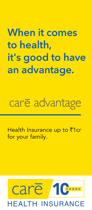## **When it comes to health, it's good to have an advantage.**

# care advantage

Health Insurance up to ₹1cr for your family.

### care Y E A R S INSURANCE **HFAITH**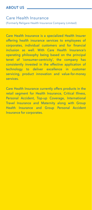#### Care Health Insurance

(Formerly Religare Health Insurance Company Limited)

Care Health Insurance is a specialized Health Insurer offering health insurance services to employees of corporates, individual customers and for financial inclusion as well. With Care Health Insurance's operating philosophy being based on the principal tenet of 'consumer-centricity', the company has consistently invested in the effective application of technology to deliver excellence in customer servicing, product innovation and value-for-money services.

Care Health Insurance currently offers products in the retail segment for Health Insurance, Critical Illness, Personal Accident, Top-up Coverage, International Travel Insurance and Maternity along with Group Health Insurance and Group Personal Accident Insurance for corporates.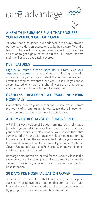## care advantage



#### **A HEALTH INSURANCE PLAN THAT ENSURES YOU NEVER RUN OUT OF COVER**

At Care Health Insurance, our endeavor is to always provide our policy holders an access to quality healthcare. With the launch of Care Advantage, we have granted our customers an option to get high Sum Insured (upto Rs. 1 crore), so that their families are adequately covered.

#### **KEY FEATURES**

High Sum Insured Option upto Rs. 1 Crore. Get your expenses covered - At the time of selecting a health insurance plan, one should select the amount wisely as it covers the medical expenses for a year. Make sure you chose a sum insured which won't fall short in case of an emergency and the premium for which is not too exorbitant.

#### **CASHLESS TREATMENT AT 9800+ NETWORK HOSPITALS**

Concentrate only on your recovery and relieve yourself from the worry of arranging for funds. Leave the bill payment arrangements to us with cashless hospitalisation.

#### **AUTOMATIC RECHARGE OF SUM INSURED**

A Refill is always welcome! So your sum insured is reinstated just when you need it the most. If you ever run out of/exhaust your health cover due to claims made, we reinstate the entire sum insured of your policy once, which can be used for any future claims during the same year. Not just this you can avail the benefit unlimited number of times by opting an Optional Cover - Unlimited Automatic Recharge. Our knows no limits; this is our guarantee to you!

Recharge amount can be utilized for the Second Claim in the same Policy Year for same person for treatment of an earlier claimed illness/injury after 45 Days of discharge of the last hospitalisation.

#### **30 DAYS PRE HOSPITALIZATION COVER**

Sometimes the procedures that finally lead you to hospital, such as investigative tests and medication, can be quite financially draining. We cover the medical expenses incurred by you up to 30 days before your hospitalisation.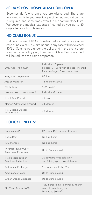#### **60 DAYS POST HOSPITALIZATION COVER**

Expenses don't end once you are discharged. There are follow-up visits to your medical practitioner, medication that is required and sometimes even further confirmatory tests. We cover the medical expenses incurred by you up to 60 days after your hospitalisation.

#### **NO CLAIM BONUS**

Get flat increase of 10% in Sum Insured for next policy year in case of no claim. No Claim Bonus in any case will not exceed 50% of Sum Insured under the policy and in the event there is a claim in a policy year, then the No Claim Bonus accrued will be reduced at a same proportion.

| Entry Age - Minimum                        | Individual: 5 years<br>Floater: 91 Days with at least 1 Insured<br>Person of age 18 years or above |
|--------------------------------------------|----------------------------------------------------------------------------------------------------|
| Entry Age - Maximum                        | Lifelong                                                                                           |
| Age of Proposer                            | 18 Years or above                                                                                  |
| Policy Term                                | $1/2/3$ Years                                                                                      |
| How can You cover Yourself                 | Individual/Floater                                                                                 |
| Initial Wait Period                        | 30 Days                                                                                            |
| Named Ailment wait Period                  | 24 Months                                                                                          |
| <b>Pre-Existing Disease</b><br>Wait Period | 48 Months                                                                                          |

#### **POLICY BENEFITS:**

| Sum Insured*                                       | ₹25 Lacs, ₹50 Lacs and ₹1 crore                                                          |
|----------------------------------------------------|------------------------------------------------------------------------------------------|
| Room Rent                                          | No Sub-Limit                                                                             |
| ICU charges                                        | No Sub-Limit                                                                             |
| In Patient & Day Care<br><b>Treatment Expenses</b> | Up to Sum Insured                                                                        |
| Pre Hospitalisation/<br>Post Hospitalisation       | 30 days pre hospitalization<br>and 60 days post hospitalization                          |
| Automatic Recharge                                 | Yes, once in a Policy Year                                                               |
| Ambulance Cover                                    | Up to Sum Insured                                                                        |
| Organ Donor Expenses                               | Up to Sum Insured                                                                        |
| No Claim Bonus (NCB)                               | 10% increase in SI per Policy Year in<br>case of claim-free year;<br>Max up to 50% of SI |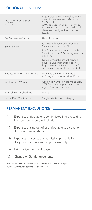#### **OPTIONAL BENEFITS:**

| No Claims Bonus Super<br>(NCBS) | 50% increase in SI per Policy Year in<br>case of claimfree year; Max up to<br>100% of SI<br>(50% decrease in SI per Policy Year<br>in case a claim has been paid; Such<br>decrease is only in SI accrued as<br>NCBS) |
|---------------------------------|----------------------------------------------------------------------------------------------------------------------------------------------------------------------------------------------------------------------|
| Air Ambulance Cover             | Up to ₹5 Lacs                                                                                                                                                                                                        |
| Smart Select                    | for hospitals covered under Smart<br>Select Network: upto SI                                                                                                                                                         |
|                                 | For Other hospitals not part of Smart<br>Select Network: 20% co-payment on<br>all claims                                                                                                                             |
|                                 | Note: check the list of hospitals<br>covered under smart select on<br>https://www.careinsurance.com/<br>smart-select-network-locator.html                                                                            |
| Reduction in PED Wait Period    | Applicable PED Wait Period of<br>4 Years, will be reduced to 2 Years                                                                                                                                                 |
| Co-Payment Waiver               | Option to waive - off the mandatory<br>20% Co-payment per claim at entry<br>age 61 Years and above.                                                                                                                  |
| Annual Health Check-up          | Annual                                                                                                                                                                                                               |
| Room Rent Modification          | Single Private room category                                                                                                                                                                                         |

#### **PERMANENT EXCLUSIONS:**

- (i) Expenses attributable to self-inflicted injury resulting from suicide, attempted suicide
- (ii) Expenses arising out of or attributable to alcohol or drug use/misuse/abuse
- (iii) Expenses related to any admission primarily for diagnostics and evaluation purposes only
- (iv) External Congenital disease
- (v) Change-of-Gender treatments

For a detailed set of exclusions, please refer the policy wordings. \*Other Sum Insured options are also available